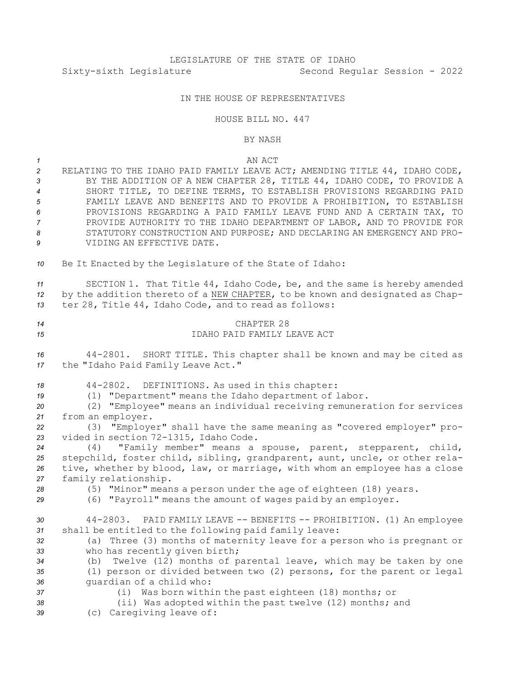### IN THE HOUSE OF REPRESENTATIVES

#### HOUSE BILL NO. 447

#### BY NASH

## *1* AN ACT *<sup>2</sup>* RELATING TO THE IDAHO PAID FAMILY LEAVE ACT; AMENDING TITLE 44, IDAHO CODE, *<sup>3</sup>* BY THE ADDITION OF A NEW CHAPTER 28, TITLE 44, IDAHO CODE, TO PROVIDE A *4* SHORT TITLE, TO DEFINE TERMS, TO ESTABLISH PROVISIONS REGARDING PAID *5* FAMILY LEAVE AND BENEFITS AND TO PROVIDE A PROHIBITION, TO ESTABLISH *6* PROVISIONS REGARDING A PAID FAMILY LEAVE FUND AND A CERTAIN TAX, TO *7* PROVIDE AUTHORITY TO THE IDAHO DEPARTMENT OF LABOR, AND TO PROVIDE FOR 8 STATUTORY CONSTRUCTION AND PURPOSE; AND DECLARING AN EMERGENCY AND PRO-*9* VIDING AN EFFECTIVE DATE. *<sup>10</sup>* Be It Enacted by the Legislature of the State of Idaho:

*<sup>11</sup>* SECTION 1. That Title 44, Idaho Code, be, and the same is hereby amended *<sup>12</sup>* by the addition thereto of <sup>a</sup> NEW CHAPTER, to be known and designated as Chap-*<sup>13</sup>* ter 28, Title 44, Idaho Code, and to read as follows:

# *14* CHAPTER 28 *15* IDAHO PAID FAMILY LEAVE ACT *<sup>16</sup>* 44-2801. SHORT TITLE. This chapter shall be known and may be cited as *<sup>17</sup>* the "Idaho Paid Family Leave Act."

- *<sup>18</sup>* 44-2802. DEFINITIONS. As used in this chapter:
- *<sup>19</sup>* (1) "Department" means the Idaho department of labor.
- *<sup>20</sup>* (2) "Employee" means an individual receiving remuneration for services *<sup>21</sup>* from an employer.

*<sup>22</sup>* (3) "Employer" shall have the same meaning as "covered employer" pro-*<sup>23</sup>* vided in section 72-1315, Idaho Code.

 (4) "Family member" means <sup>a</sup> spouse, parent, stepparent, child, stepchild, foster child, sibling, grandparent, aunt, uncle, or other rela- tive, whether by blood, law, or marriage, with whom an employee has <sup>a</sup> close family relationship.

*<sup>28</sup>* (5) "Minor" means <sup>a</sup> person under the age of eighteen (18) years.

*<sup>29</sup>* (6) "Payroll" means the amount of wages paid by an employer.

*<sup>30</sup>* 44-2803. PAID FAMILY LEAVE -- BENEFITS -- PROHIBITION. (1) An employee *<sup>31</sup>* shall be entitled to the following paid family leave:

*<sup>32</sup>* (a) Three (3) months of maternity leave for <sup>a</sup> person who is pregnant or *<sup>33</sup>* who has recently given birth;

*<sup>34</sup>* (b) Twelve (12) months of parental leave, which may be taken by one *<sup>35</sup>* (1) person or divided between two (2) persons, for the parent or legal *<sup>36</sup>* guardian of <sup>a</sup> child who:

- 
- *<sup>37</sup>* (i) Was born within the past eighteen (18) months; or

*<sup>38</sup>* (ii) Was adopted within the past twelve (12) months; and

*<sup>39</sup>* (c) Caregiving leave of: